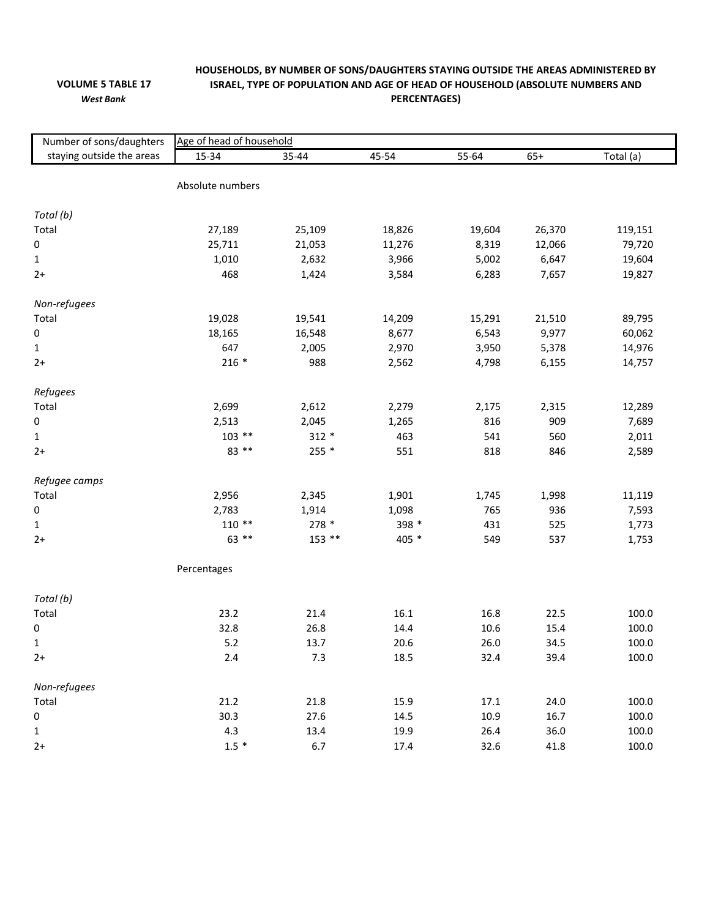## **VOLUME 5 TABLE 17** *West Bank*

## **HOUSEHOLDS, BY NUMBER OF SONS/DAUGHTERS STAYING OUTSIDE THE AREAS ADMINISTERED BY ISRAEL, TYPE OF POPULATION AND AGE OF HEAD OF HOUSEHOLD (ABSOLUTE NUMBERS AND PERCENTAGES)**

| Number of sons/daughters  | Age of head of household |          |        |        |        |           |  |  |  |  |
|---------------------------|--------------------------|----------|--------|--------|--------|-----------|--|--|--|--|
| staying outside the areas | 15-34                    | 35-44    | 45-54  | 55-64  | $65+$  | Total (a) |  |  |  |  |
|                           |                          |          |        |        |        |           |  |  |  |  |
|                           | Absolute numbers         |          |        |        |        |           |  |  |  |  |
|                           |                          |          |        |        |        |           |  |  |  |  |
| Total (b)                 |                          |          |        |        |        |           |  |  |  |  |
| Total                     | 27,189                   | 25,109   | 18,826 | 19,604 | 26,370 | 119,151   |  |  |  |  |
| $\pmb{0}$                 | 25,711                   | 21,053   | 11,276 | 8,319  | 12,066 | 79,720    |  |  |  |  |
| $\mathbf{1}$              | 1,010                    | 2,632    | 3,966  | 5,002  | 6,647  | 19,604    |  |  |  |  |
| $2+$                      | 468                      | 1,424    | 3,584  | 6,283  | 7,657  | 19,827    |  |  |  |  |
| Non-refugees              |                          |          |        |        |        |           |  |  |  |  |
| Total                     | 19,028                   | 19,541   | 14,209 | 15,291 | 21,510 | 89,795    |  |  |  |  |
| 0                         | 18,165                   | 16,548   | 8,677  | 6,543  | 9,977  | 60,062    |  |  |  |  |
| $\mathbf{1}$              | 647                      | 2,005    | 2,970  | 3,950  | 5,378  | 14,976    |  |  |  |  |
| $2+$                      | $216 *$                  | 988      | 2,562  | 4,798  | 6,155  | 14,757    |  |  |  |  |
|                           |                          |          |        |        |        |           |  |  |  |  |
| Refugees                  |                          |          |        |        |        |           |  |  |  |  |
| Total                     | 2,699                    | 2,612    | 2,279  | 2,175  | 2,315  | 12,289    |  |  |  |  |
| $\pmb{0}$                 | 2,513                    | 2,045    | 1,265  | 816    | 909    | 7,689     |  |  |  |  |
| $\mathbf{1}$              | $103$ **                 | $312 *$  | 463    | 541    | 560    | 2,011     |  |  |  |  |
| $2+$                      | 83 **                    | 255 *    | 551    | 818    | 846    | 2,589     |  |  |  |  |
|                           |                          |          |        |        |        |           |  |  |  |  |
| Refugee camps             |                          |          |        |        |        |           |  |  |  |  |
| Total                     | 2,956                    | 2,345    | 1,901  | 1,745  | 1,998  | 11,119    |  |  |  |  |
| $\pmb{0}$                 | 2,783                    | 1,914    | 1,098  | 765    | 936    | 7,593     |  |  |  |  |
| $\mathbf{1}$              | $110**$                  | 278 *    | 398 *  | 431    | 525    | 1,773     |  |  |  |  |
| $2+$                      | $63$ **                  | $153$ ** | 405 *  | 549    | 537    | 1,753     |  |  |  |  |
|                           | Percentages              |          |        |        |        |           |  |  |  |  |
| Total (b)                 |                          |          |        |        |        |           |  |  |  |  |
| Total                     | 23.2                     | 21.4     | 16.1   | 16.8   | 22.5   | 100.0     |  |  |  |  |
| $\pmb{0}$                 | 32.8                     | 26.8     | 14.4   | 10.6   | 15.4   | 100.0     |  |  |  |  |
| $\mathbf 1$               | 5.2                      | 13.7     | 20.6   | 26.0   | 34.5   | 100.0     |  |  |  |  |
| $2+$                      | $2.4$                    | 7.3      | 18.5   | 32.4   | 39.4   | 100.0     |  |  |  |  |
|                           |                          |          |        |        |        |           |  |  |  |  |
| Non-refugees              |                          |          |        |        |        |           |  |  |  |  |
| Total                     | 21.2                     | 21.8     | 15.9   | 17.1   | 24.0   | 100.0     |  |  |  |  |
| 0                         | 30.3                     | 27.6     | 14.5   | 10.9   | 16.7   | 100.0     |  |  |  |  |
| 1                         | 4.3                      | 13.4     | 19.9   | 26.4   | 36.0   | 100.0     |  |  |  |  |
| $2+$                      | $1.5 *$                  | 6.7      | 17.4   | 32.6   | 41.8   | 100.0     |  |  |  |  |